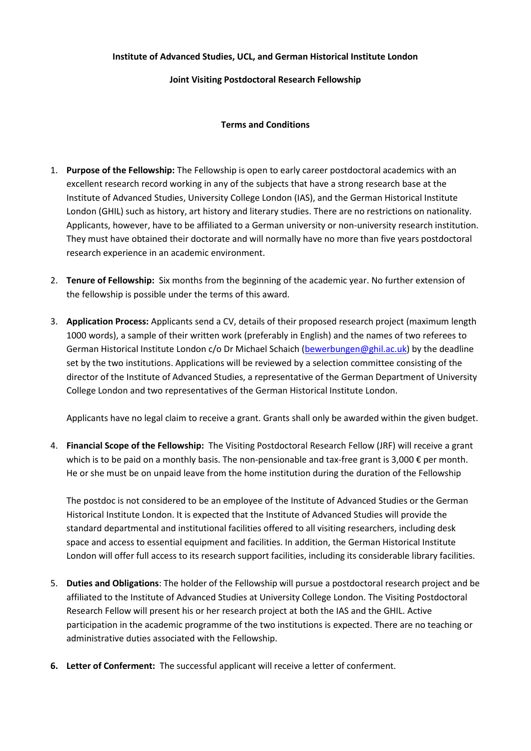## **Institute of Advanced Studies, UCL, and German Historical Institute London**

## **Joint Visiting Postdoctoral Research Fellowship**

## **Terms and Conditions**

- 1. **Purpose of the Fellowship:** The Fellowship is open to early career postdoctoral academics with an excellent research record working in any of the subjects that have a strong research base at the Institute of Advanced Studies, University College London (IAS), and the German Historical Institute London (GHIL) such as history, art history and literary studies. There are no restrictions on nationality. Applicants, however, have to be affiliated to a German university or non-university research institution. They must have obtained their doctorate and will normally have no more than five years postdoctoral research experience in an academic environment.
- 2. **Tenure of Fellowship:** Six months from the beginning of the academic year. No further extension of the fellowship is possible under the terms of this award.
- 3. **Application Process:** Applicants send a CV, details of their proposed research project (maximum length 1000 words), a sample of their written work (preferably in English) and the names of two referees to German Historical Institute London c/o Dr Michael Schaich [\(bewerbungen@ghil.ac.uk\)](mailto:bewerbungen@ghil.ac.uk) by the deadline set by the two institutions. Applications will be reviewed by a selection committee consisting of the director of the Institute of Advanced Studies, a representative of the German Department of University College London and two representatives of the German Historical Institute London.

Applicants have no legal claim to receive a grant. Grants shall only be awarded within the given budget.

4. **Financial Scope of the Fellowship:** The Visiting Postdoctoral Research Fellow (JRF) will receive a grant which is to be paid on a monthly basis. The non-pensionable and tax-free grant is 3,000 € per month. He or she must be on unpaid leave from the home institution during the duration of the Fellowship

The postdoc is not considered to be an employee of the Institute of Advanced Studies or the German Historical Institute London. It is expected that the Institute of Advanced Studies will provide the standard departmental and institutional facilities offered to all visiting researchers, including desk space and access to essential equipment and facilities. In addition, the German Historical Institute London will offer full access to its research support facilities, including its considerable library facilities.

- 5. **Duties and Obligations**: The holder of the Fellowship will pursue a postdoctoral research project and be affiliated to the Institute of Advanced Studies at University College London. The Visiting Postdoctoral Research Fellow will present his or her research project at both the IAS and the GHIL. Active participation in the academic programme of the two institutions is expected. There are no teaching or administrative duties associated with the Fellowship.
- **6. Letter of Conferment:** The successful applicant will receive a letter of conferment.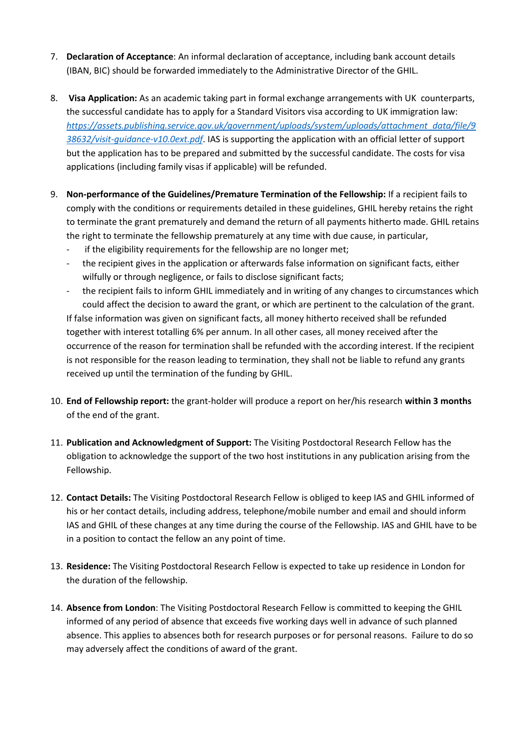- 7. **Declaration of Acceptance**: An informal declaration of acceptance, including bank account details (IBAN, BIC) should be forwarded immediately to the Administrative Director of the GHIL.
- 8. **Visa Application:** As an academic taking part in formal exchange arrangements with UK counterparts, the successful candidate has to apply for a Standard Visitors visa according to UK immigration law: *[https://assets.publishing.service.gov.uk/government/uploads/system/uploads/attachment\\_data/file/9](https://assets.publishing.service.gov.uk/government/uploads/system/uploads/attachment_data/file/938632/visit-guidance-v10.0ext.pdf) [38632/visit-guidance-v10.0ext.pdf](https://assets.publishing.service.gov.uk/government/uploads/system/uploads/attachment_data/file/938632/visit-guidance-v10.0ext.pdf)*. IAS is supporting the application with an official letter of support but the application has to be prepared and submitted by the successful candidate. The costs for visa applications (including family visas if applicable) will be refunded.
- 9. **Non-performance of the Guidelines/Premature Termination of the Fellowship:** If a recipient fails to comply with the conditions or requirements detailed in these guidelines, GHIL hereby retains the right to terminate the grant prematurely and demand the return of all payments hitherto made. GHIL retains the right to terminate the fellowship prematurely at any time with due cause, in particular,
	- if the eligibility requirements for the fellowship are no longer met;
	- the recipient gives in the application or afterwards false information on significant facts, either wilfully or through negligence, or fails to disclose significant facts;
	- the recipient fails to inform GHIL immediately and in writing of any changes to circumstances which could affect the decision to award the grant, or which are pertinent to the calculation of the grant. If false information was given on significant facts, all money hitherto received shall be refunded together with interest totalling 6% per annum. In all other cases, all money received after the occurrence of the reason for termination shall be refunded with the according interest. If the recipient is not responsible for the reason leading to termination, they shall not be liable to refund any grants received up until the termination of the funding by GHIL.
- 10. **End of Fellowship report:** the grant-holder will produce a report on her/his research **within 3 months** of the end of the grant.
- 11. **Publication and Acknowledgment of Support:** The Visiting Postdoctoral Research Fellow has the obligation to acknowledge the support of the two host institutions in any publication arising from the Fellowship.
- 12. **Contact Details:** The Visiting Postdoctoral Research Fellow is obliged to keep IAS and GHIL informed of his or her contact details, including address, telephone/mobile number and email and should inform IAS and GHIL of these changes at any time during the course of the Fellowship. IAS and GHIL have to be in a position to contact the fellow an any point of time.
- 13. **Residence:** The Visiting Postdoctoral Research Fellow is expected to take up residence in London for the duration of the fellowship.
- 14. **Absence from London**: The Visiting Postdoctoral Research Fellow is committed to keeping the GHIL informed of any period of absence that exceeds five working days well in advance of such planned absence. This applies to absences both for research purposes or for personal reasons. Failure to do so may adversely affect the conditions of award of the grant.